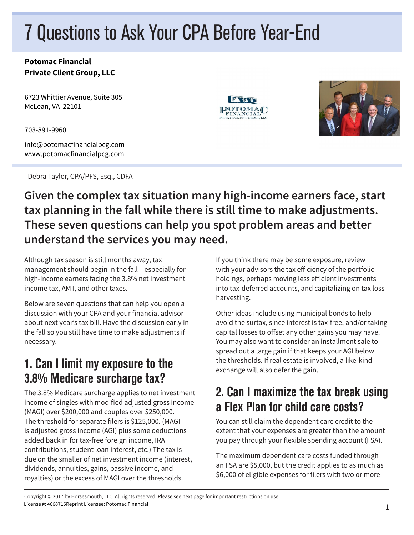# 7 Questions to Ask Your CPA Before Year-End

#### **Potomac Financial Private Client Group, LLC**

6723 Whittier Avenue, Suite 305 McLean, VA 22101

703-891-9960

info@potomacfinancialpcg.com www.potomacfinancialpcg.com

–Debra Taylor, CPA/PFS, Esq., CDFA





#### **Given the complex tax situation many high-income earners face, start tax planning in the fall while there is still time to make adjustments. These seven questions can help you spot problem areas and better understand the services you may need.**

Although tax season is still months away, tax management should begin in the fall – especially for high-income earners facing the 3.8% net investment income tax, AMT, and other taxes.

Below are seven questions that can help you open a discussion with your CPA and your financial advisor about next year's tax bill. Have the discussion early in the fall so you still have time to make adjustments if necessary.

#### 1. Can I limit my exposure to the 3.8% Medicare surcharge tax?

The 3.8% Medicare surcharge applies to net investment income of singles with modified adjusted gross income (MAGI) over \$200,000 and couples over \$250,000. The threshold for separate filers is \$125,000. (MAGI is adjusted gross income (AGI) plus some deductions added back in for tax-free foreign income, IRA contributions, student loan interest, etc.) The tax is due on the smaller of net investment income (interest, dividends, annuities, gains, passive income, and royalties) or the excess of MAGI over the thresholds.

If you think there may be some exposure, review with your advisors the tax efficiency of the portfolio holdings, perhaps moving less efficient investments into tax-deferred accounts, and capitalizing on tax loss harvesting.

Other ideas include using municipal bonds to help avoid the surtax, since interest is tax-free, and/or taking capital losses to offset any other gains you may have. You may also want to consider an installment sale to spread out a large gain if that keeps your AGI below the thresholds. If real estate is involved, a like-kind exchange will also defer the gain.

### 2. Can I maximize the tax break using a Flex Plan for child care costs?

You can still claim the dependent care credit to the extent that your expenses are greater than the amount you pay through your flexible spending account (FSA).

The maximum dependent care costs funded through an FSA are \$5,000, but the credit applies to as much as \$6,000 of eligible expenses for filers with two or more

Copyright © 2017 by Horsesmouth, LLC. All rights reserved. Please see next page for important restrictions on use. License #: 4668715Reprint Licensee: Potomac Financial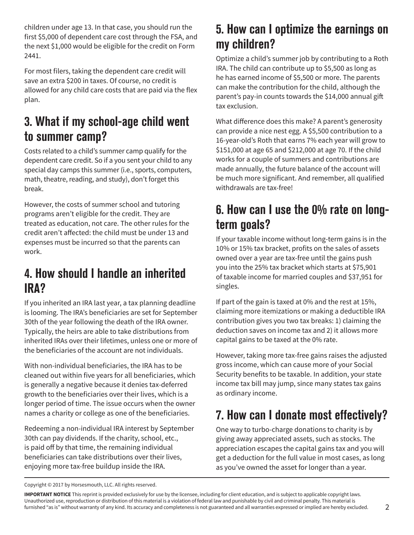children under age 13. In that case, you should run the first \$5,000 of dependent care cost through the FSA, and the next \$1,000 would be eligible for the credit on Form 2441.

For most filers, taking the dependent care credit will save an extra \$200 in taxes. Of course, no credit is allowed for any child care costs that are paid via the flex plan.

#### 3. What if my school-age child went to summer camp?

Costs related to a child's summer camp qualify for the dependent care credit. So if a you sent your child to any special day camps this summer (i.e., sports, computers, math, theatre, reading, and study), don't forget this break.

However, the costs of summer school and tutoring programs aren't eligible for the credit. They are treated as education, not care. The other rules for the credit aren't affected: the child must be under 13 and expenses must be incurred so that the parents can work.

#### 4. How should I handle an inherited IRA?

If you inherited an IRA last year, a tax planning deadline is looming. The IRA's beneficiaries are set for September 30th of the year following the death of the IRA owner. Typically, the heirs are able to take distributions from inherited IRAs over their lifetimes, unless one or more of the beneficiaries of the account are not individuals.

With non-individual beneficiaries, the IRA has to be cleaned out within five years for all beneficiaries, which is generally a negative because it denies tax-deferred growth to the beneficiaries over their lives, which is a longer period of time. The issue occurs when the owner names a charity or college as one of the beneficiaries.

Redeeming a non-individual IRA interest by September 30th can pay dividends. If the charity, school, etc., is paid off by that time, the remaining individual beneficiaries can take distributions over their lives, enjoying more tax-free buildup inside the IRA.

#### 5. How can I optimize the earnings on my children?

Optimize a child's summer job by contributing to a Roth IRA. The child can contribute up to \$5,500 as long as he has earned income of \$5,500 or more. The parents can make the contribution for the child, although the parent's pay-in counts towards the \$14,000 annual gift tax exclusion.

What difference does this make? A parent's generosity can provide a nice nest egg. A \$5,500 contribution to a 16-year-old's Roth that earns 7% each year will grow to \$151,000 at age 65 and \$212,000 at age 70. If the child works for a couple of summers and contributions are made annually, the future balance of the account will be much more significant. And remember, all qualified withdrawals are tax-free!

### 6. How can I use the 0% rate on longterm goals?

If your taxable income without long-term gains is in the 10% or 15% tax bracket, profits on the sales of assets owned over a year are tax-free until the gains push you into the 25% tax bracket which starts at \$75,901 of taxable income for married couples and \$37,951 for singles.

If part of the gain is taxed at 0% and the rest at 15%, claiming more itemizations or making a deductible IRA contribution gives you two tax breaks: 1) claiming the deduction saves on income tax and 2) it allows more capital gains to be taxed at the 0% rate.

However, taking more tax-free gains raises the adjusted gross income, which can cause more of your Social Security benefits to be taxable. In addition, your state income tax bill may jump, since many states tax gains as ordinary income.

# 7. How can I donate most effectively?

One way to turbo-charge donations to charity is by giving away appreciated assets, such as stocks. The appreciation escapes the capital gains tax and you will get a deduction for the full value in most cases, as long as you've owned the asset for longer than a year.

Copyright © 2017 by Horsesmouth, LLC. All rights reserved.

**IMPORTANT NOTICE** This reprint is provided exclusively for use by the licensee, including for client education, and is subject to applicable copyright laws. Unauthorized use, reproduction or distribution of this material is a violation of federal law and punishable by civil and criminal penalty. This material is furnished "as is" without warranty of any kind. Its accuracy and completeness is not guaranteed and all warranties expressed or implied are hereby excluded.